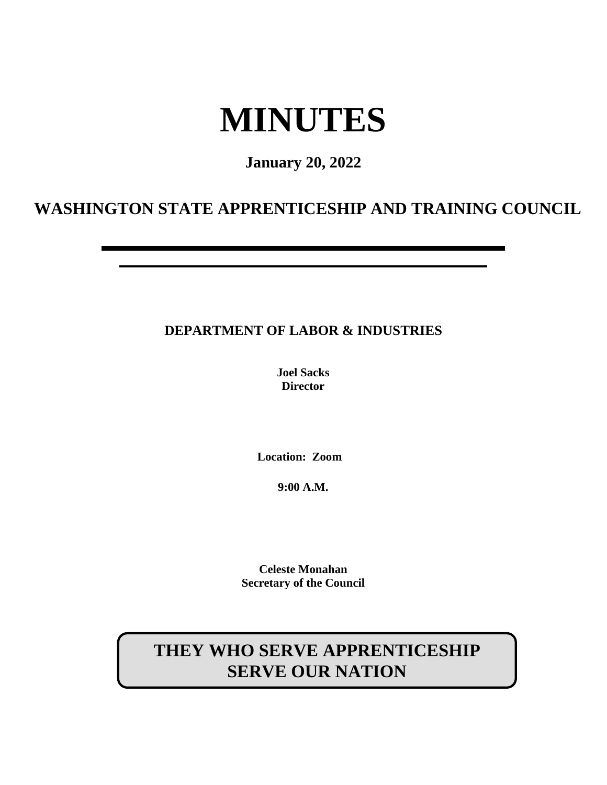# **MINUTES**

## **January 20, 2022**

## **WASHINGTON STATE APPRENTICESHIP AND TRAINING COUNCIL**

## **DEPARTMENT OF LABOR & INDUSTRIES**

**Joel Sacks Director**

**Location: Zoom**

**9:00 A.M.**

**Celeste Monahan Secretary of the Council**

## **THEY WHO SERVE APPRENTICESHIP SERVE OUR NATION**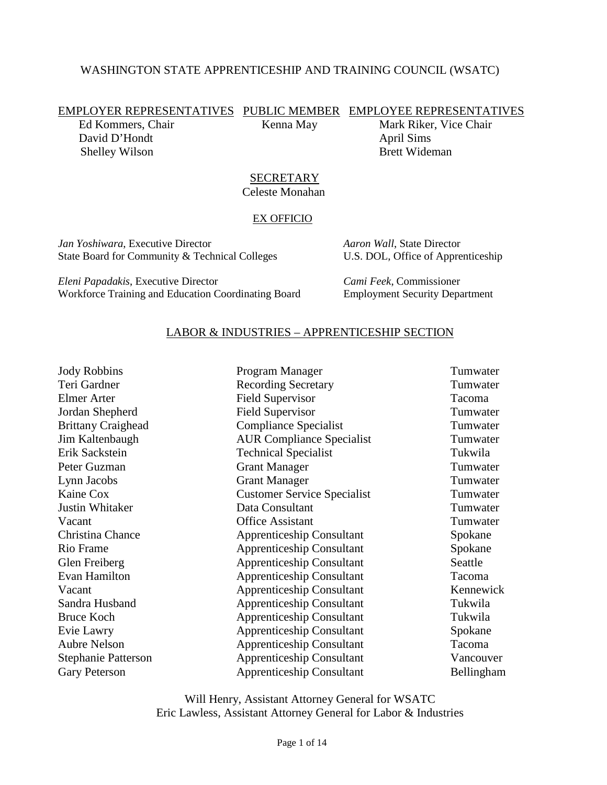## WASHINGTON STATE APPRENTICESHIP AND TRAINING COUNCIL (WSATC)

EMPLOYER REPRESENTATIVES PUBLIC MEMBER EMPLOYEE REPRESENTATIVES

David D'Hondt April Sims Shelley Wilson Brett Wideman

Ed Kommers, Chair Kenna May Mark Riker, Vice Chair

#### **SECRETARY** Celeste Monahan

#### EX OFFICIO

*Jan Yoshiwara*, Executive Director *Aaron Wall*, State Director State Board for Community & Technical Colleges U.S. DOL, Office of Apprenticeship

*Eleni Papadakis*, Executive Director *Cami Feek*, Commissioner Workforce Training and Education Coordinating Board Employment Security Department

## LABOR & INDUSTRIES – APPRENTICESHIP SECTION

| Program Manager                    | Tumwater   |
|------------------------------------|------------|
| <b>Recording Secretary</b>         | Tumwater   |
| <b>Field Supervisor</b>            | Tacoma     |
| <b>Field Supervisor</b>            | Tumwater   |
| <b>Compliance Specialist</b>       | Tumwater   |
| <b>AUR Compliance Specialist</b>   | Tumwater   |
| <b>Technical Specialist</b>        | Tukwila    |
| <b>Grant Manager</b>               | Tumwater   |
| <b>Grant Manager</b>               | Tumwater   |
| <b>Customer Service Specialist</b> | Tumwater   |
| Data Consultant                    | Tumwater   |
| <b>Office Assistant</b>            | Tumwater   |
| <b>Apprenticeship Consultant</b>   | Spokane    |
| <b>Apprenticeship Consultant</b>   | Spokane    |
| <b>Apprenticeship Consultant</b>   | Seattle    |
| <b>Apprenticeship Consultant</b>   | Tacoma     |
| <b>Apprenticeship Consultant</b>   | Kennewick  |
| <b>Apprenticeship Consultant</b>   | Tukwila    |
| <b>Apprenticeship Consultant</b>   | Tukwila    |
| <b>Apprenticeship Consultant</b>   | Spokane    |
| <b>Apprenticeship Consultant</b>   | Tacoma     |
| <b>Apprenticeship Consultant</b>   | Vancouver  |
| <b>Apprenticeship Consultant</b>   | Bellingham |
|                                    |            |

Will Henry, Assistant Attorney General for WSATC Eric Lawless, Assistant Attorney General for Labor & Industries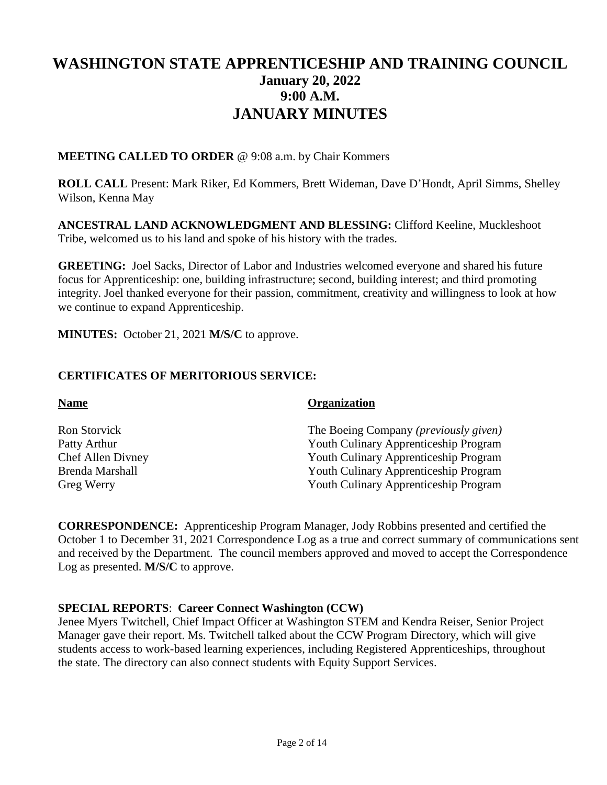## **WASHINGTON STATE APPRENTICESHIP AND TRAINING COUNCIL January 20, 2022 9:00 A.M. JANUARY MINUTES**

**MEETING CALLED TO ORDER** @ 9:08 a.m. by Chair Kommers

**ROLL CALL** Present: Mark Riker, Ed Kommers, Brett Wideman, Dave D'Hondt, April Simms, Shelley Wilson, Kenna May

**ANCESTRAL LAND ACKNOWLEDGMENT AND BLESSING:** Clifford Keeline, Muckleshoot Tribe, welcomed us to his land and spoke of his history with the trades.

**GREETING:** Joel Sacks, Director of Labor and Industries welcomed everyone and shared his future focus for Apprenticeship: one, building infrastructure; second, building interest; and third promoting integrity. Joel thanked everyone for their passion, commitment, creativity and willingness to look at how we continue to expand Apprenticeship.

**MINUTES:** October 21, 2021 **M/S/C** to approve.

## **CERTIFICATES OF MERITORIOUS SERVICE:**

| <b>Name</b>       | <b>Organization</b>                            |
|-------------------|------------------------------------------------|
| Ron Storvick      | The Boeing Company ( <i>previously given</i> ) |
| Patty Arthur      | Youth Culinary Apprenticeship Program          |
| Chef Allen Divney | <b>Youth Culinary Apprenticeship Program</b>   |
| Brenda Marshall   | <b>Youth Culinary Apprenticeship Program</b>   |
| Greg Werry        | Youth Culinary Apprenticeship Program          |

**CORRESPONDENCE:** Apprenticeship Program Manager, Jody Robbins presented and certified the October 1 to December 31, 2021 Correspondence Log as a true and correct summary of communications sent and received by the Department. The council members approved and moved to accept the Correspondence Log as presented. **M/S/C** to approve.

## **SPECIAL REPORTS**: **Career Connect Washington (CCW)**

Jenee Myers Twitchell, Chief Impact Officer at Washington STEM and Kendra Reiser, Senior Project Manager gave their report. Ms. Twitchell talked about the CCW Program Directory, which will give students access to work-based learning experiences, including Registered Apprenticeships, throughout the state. The directory can also connect students with Equity Support Services.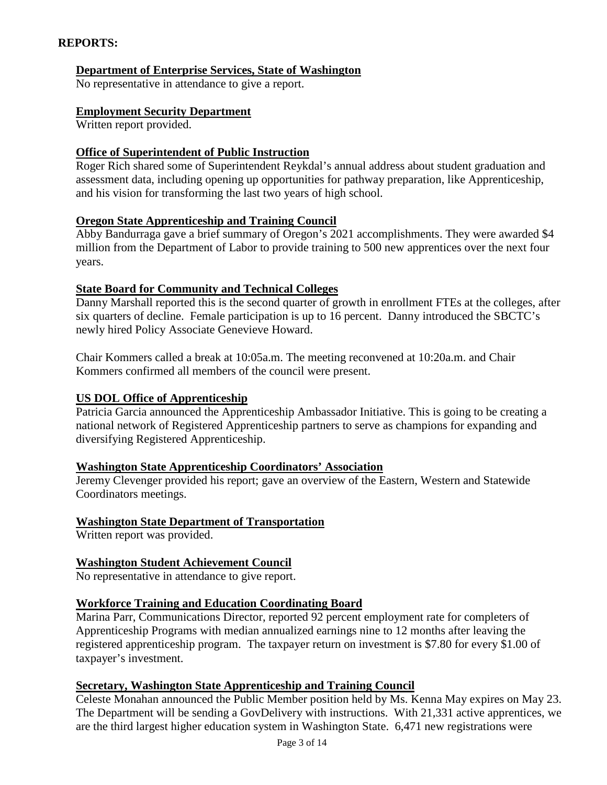## **REPORTS:**

## **Department of Enterprise Services, State of Washington**

No representative in attendance to give a report.

## **Employment Security Department**

Written report provided.

## **Office of Superintendent of Public Instruction**

Roger Rich shared some of Superintendent Reykdal's annual address about student graduation and assessment data, including opening up opportunities for pathway preparation, like Apprenticeship, and his vision for transforming the last two years of high school.

## **Oregon State Apprenticeship and Training Council**

Abby Bandurraga gave a brief summary of Oregon's 2021 accomplishments. They were awarded \$4 million from the Department of Labor to provide training to 500 new apprentices over the next four years.

## **State Board for Community and Technical Colleges**

Danny Marshall reported this is the second quarter of growth in enrollment FTEs at the colleges, after six quarters of decline. Female participation is up to 16 percent. Danny introduced the SBCTC's newly hired Policy Associate Genevieve Howard.

Chair Kommers called a break at 10:05a.m. The meeting reconvened at 10:20a.m. and Chair Kommers confirmed all members of the council were present.

## **US DOL Office of Apprenticeship**

Patricia Garcia announced the Apprenticeship Ambassador Initiative. This is going to be creating a national network of Registered Apprenticeship partners to serve as champions for expanding and diversifying Registered Apprenticeship.

## **Washington State Apprenticeship Coordinators' Association**

Jeremy Clevenger provided his report; gave an overview of the Eastern, Western and Statewide Coordinators meetings.

## **Washington State Department of Transportation**

Written report was provided.

## **Washington Student Achievement Council**

No representative in attendance to give report.

## **Workforce Training and Education Coordinating Board**

Marina Parr, Communications Director, reported 92 percent employment rate for completers of Apprenticeship Programs with median annualized earnings nine to 12 months after leaving the registered apprenticeship program. The taxpayer return on investment is \$7.80 for every \$1.00 of taxpayer's investment.

## **Secretary, Washington State Apprenticeship and Training Council**

Celeste Monahan announced the Public Member position held by Ms. Kenna May expires on May 23. The Department will be sending a GovDelivery with instructions. With 21,331 active apprentices, we are the third largest higher education system in Washington State. 6,471 new registrations were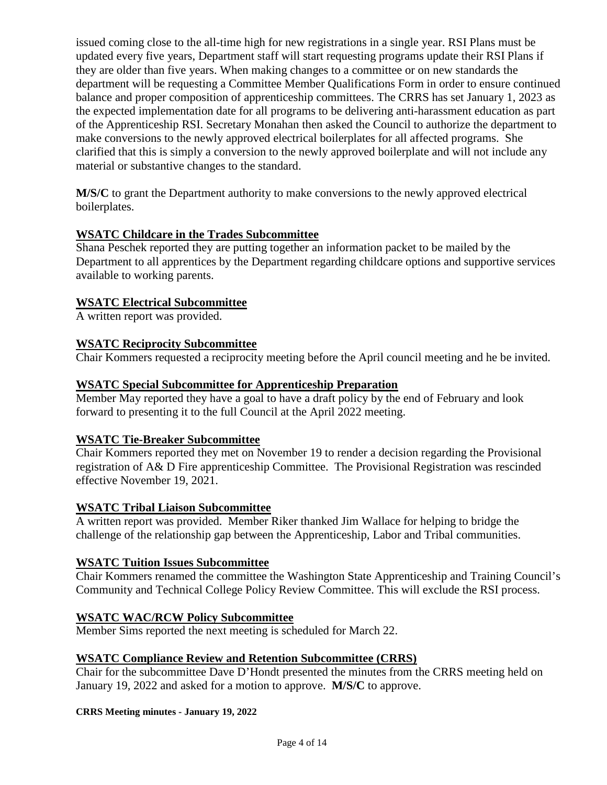issued coming close to the all-time high for new registrations in a single year. RSI Plans must be updated every five years, Department staff will start requesting programs update their RSI Plans if they are older than five years. When making changes to a committee or on new standards the department will be requesting a Committee Member Qualifications Form in order to ensure continued balance and proper composition of apprenticeship committees. The CRRS has set January 1, 2023 as the expected implementation date for all programs to be delivering anti-harassment education as part of the Apprenticeship RSI. Secretary Monahan then asked the Council to authorize the department to make conversions to the newly approved electrical boilerplates for all affected programs. She clarified that this is simply a conversion to the newly approved boilerplate and will not include any material or substantive changes to the standard.

**M/S/C** to grant the Department authority to make conversions to the newly approved electrical boilerplates.

## **WSATC Childcare in the Trades Subcommittee**

Shana Peschek reported they are putting together an information packet to be mailed by the Department to all apprentices by the Department regarding childcare options and supportive services available to working parents.

## **WSATC Electrical Subcommittee**

A written report was provided.

## **WSATC Reciprocity Subcommittee**

Chair Kommers requested a reciprocity meeting before the April council meeting and he be invited.

## **WSATC Special Subcommittee for Apprenticeship Preparation**

Member May reported they have a goal to have a draft policy by the end of February and look forward to presenting it to the full Council at the April 2022 meeting.

## **WSATC Tie-Breaker Subcommittee**

Chair Kommers reported they met on November 19 to render a decision regarding the Provisional registration of A& D Fire apprenticeship Committee. The Provisional Registration was rescinded effective November 19, 2021.

## **WSATC Tribal Liaison Subcommittee**

A written report was provided. Member Riker thanked Jim Wallace for helping to bridge the challenge of the relationship gap between the Apprenticeship, Labor and Tribal communities.

## **WSATC Tuition Issues Subcommittee**

Chair Kommers renamed the committee the Washington State Apprenticeship and Training Council's Community and Technical College Policy Review Committee. This will exclude the RSI process.

## **WSATC WAC/RCW Policy Subcommittee**

Member Sims reported the next meeting is scheduled for March 22.

## **WSATC Compliance Review and Retention Subcommittee (CRRS)**

Chair for the subcommittee Dave D'Hondt presented the minutes from the CRRS meeting held on January 19, 2022 and asked for a motion to approve. **M/S/C** to approve.

#### **CRRS Meeting minutes - January 19, 2022**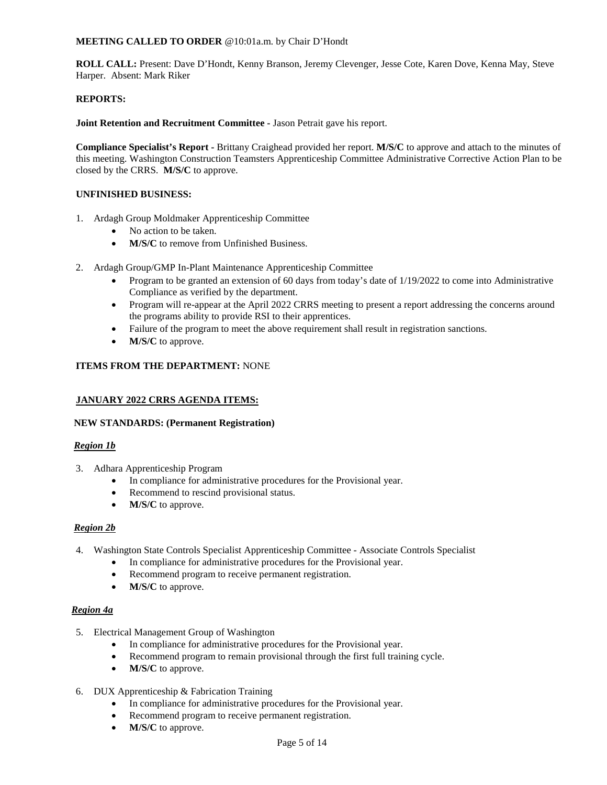#### **MEETING CALLED TO ORDER** @10:01a.m. by Chair D'Hondt

**ROLL CALL:** Present: Dave D'Hondt, Kenny Branson, Jeremy Clevenger, Jesse Cote, Karen Dove, Kenna May, Steve Harper. Absent: Mark Riker

#### **REPORTS:**

**Joint Retention and Recruitment Committee -** Jason Petrait gave his report.

**Compliance Specialist's Report -** Brittany Craighead provided her report. **M/S/C** to approve and attach to the minutes of this meeting. Washington Construction Teamsters Apprenticeship Committee Administrative Corrective Action Plan to be closed by the CRRS. **M/S/C** to approve.

#### **UNFINISHED BUSINESS:**

- 1. Ardagh Group Moldmaker Apprenticeship Committee
	- No action to be taken.
	- **M/S/C** to remove from Unfinished Business.
- 2. Ardagh Group/GMP In-Plant Maintenance Apprenticeship Committee
	- Program to be granted an extension of 60 days from today's date of 1/19/2022 to come into Administrative Compliance as verified by the department.
	- Program will re-appear at the April 2022 CRRS meeting to present a report addressing the concerns around the programs ability to provide RSI to their apprentices.
	- Failure of the program to meet the above requirement shall result in registration sanctions.
	- **M/S/C** to approve.

#### **ITEMS FROM THE DEPARTMENT:** NONE

#### **JANUARY 2022 CRRS AGENDA ITEMS:**

#### **NEW STANDARDS: (Permanent Registration)**

#### *Region 1b*

- 3. Adhara Apprenticeship Program
	- In compliance for administrative procedures for the Provisional year.
	- Recommend to rescind provisional status.
	- **M/S/C** to approve.

#### *Region 2b*

- 4. Washington State Controls Specialist Apprenticeship Committee Associate Controls Specialist
	- In compliance for administrative procedures for the Provisional year.
	- Recommend program to receive permanent registration.
	- **M/S/C** to approve.

#### *Region 4a*

- 5. Electrical Management Group of Washington
	- In compliance for administrative procedures for the Provisional year.
	- Recommend program to remain provisional through the first full training cycle.
	- **M/S/C** to approve.
- 6. DUX Apprenticeship & Fabrication Training
	- In compliance for administrative procedures for the Provisional year.
	- Recommend program to receive permanent registration.
	- **M/S/C** to approve.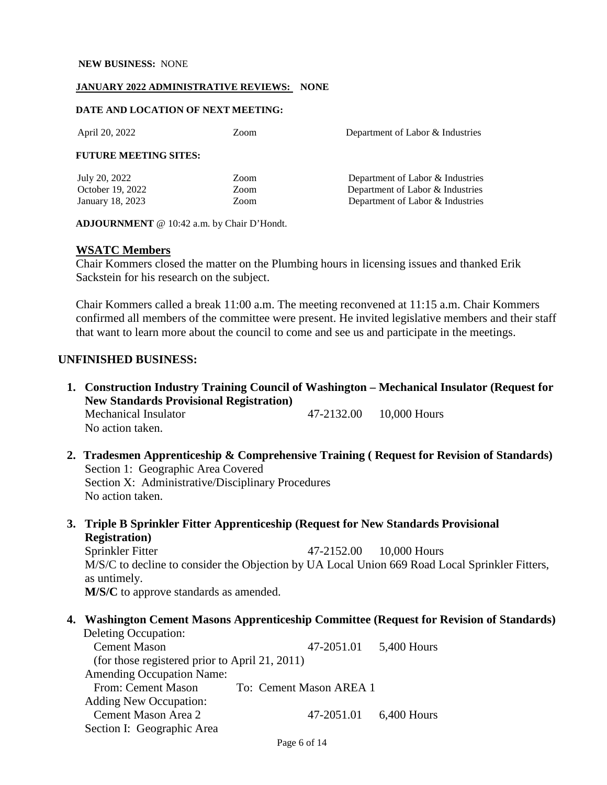#### **NEW BUSINESS:** NONE

#### **JANUARY 2022 ADMINISTRATIVE REVIEWS: NONE**

#### **DATE AND LOCATION OF NEXT MEETING:**

| April 20, 2022                                        | Zoom                 | Department of Labor & Industries                                                                         |
|-------------------------------------------------------|----------------------|----------------------------------------------------------------------------------------------------------|
| <b>FUTURE MEETING SITES:</b>                          |                      |                                                                                                          |
| July 20, 2022<br>October 19, 2022<br>January 18, 2023 | Zoom<br>Zoom<br>Zoom | Department of Labor & Industries<br>Department of Labor & Industries<br>Department of Labor & Industries |

**ADJOURNMENT** @ 10:42 a.m. by Chair D'Hondt.

#### **WSATC Members**

Chair Kommers closed the matter on the Plumbing hours in licensing issues and thanked Erik Sackstein for his research on the subject.

Chair Kommers called a break 11:00 a.m. The meeting reconvened at 11:15 a.m. Chair Kommers confirmed all members of the committee were present. He invited legislative members and their staff that want to learn more about the council to come and see us and participate in the meetings.

### **UNFINISHED BUSINESS:**

- **1. Construction Industry Training Council of Washington Mechanical Insulator (Request for New Standards Provisional Registration)**  Mechanical Insulator  $47-2132.00$  10,000 Hours No action taken.
- **2. Tradesmen Apprenticeship & Comprehensive Training ( Request for Revision of Standards)**  Section 1: Geographic Area Covered Section X: Administrative/Disciplinary Procedures No action taken.
- **3. Triple B Sprinkler Fitter Apprenticeship (Request for New Standards Provisional Registration)**

Sprinkler Fitter 47-2152.00 10,000 Hours M/S/C to decline to consider the Objection by UA Local Union 669 Road Local Sprinkler Fitters, as untimely. **M/S/C** to approve standards as amended.

#### **4. Washington Cement Masons Apprenticeship Committee (Request for Revision of Standards)**  Deleting Occupation:

| <b>Cement Mason</b>                            | 47-2051.01              | 5,400 Hours   |
|------------------------------------------------|-------------------------|---------------|
| (for those registered prior to April 21, 2011) |                         |               |
| <b>Amending Occupation Name:</b>               |                         |               |
| From: Cement Mason                             | To: Cement Mason AREA 1 |               |
| <b>Adding New Occupation:</b>                  |                         |               |
| Cement Mason Area 2                            | 47-2051.01              | $6,400$ Hours |
| Section I: Geographic Area                     |                         |               |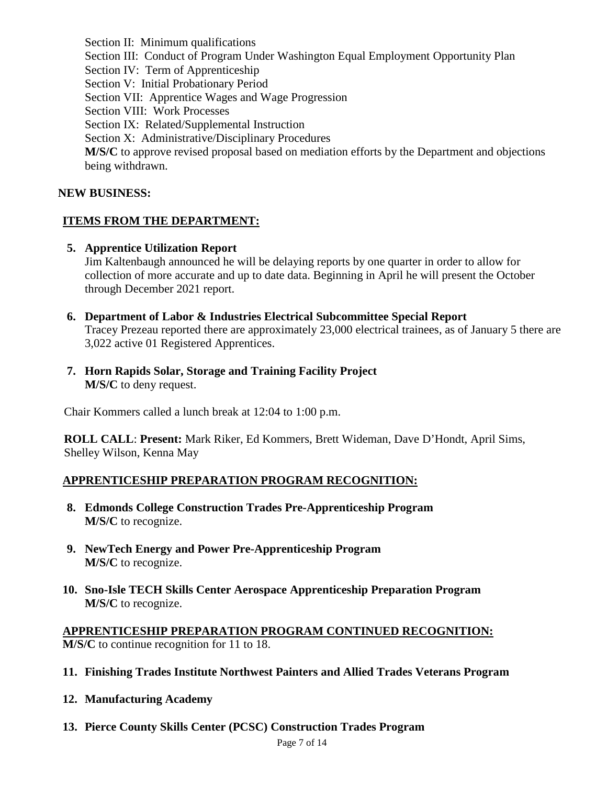Section II: Minimum qualifications Section III: Conduct of Program Under Washington Equal Employment Opportunity Plan Section IV: Term of Apprenticeship Section V: Initial Probationary Period Section VII: Apprentice Wages and Wage Progression Section VIII: Work Processes Section IX: Related/Supplemental Instruction Section X: Administrative/Disciplinary Procedures **M/S/C** to approve revised proposal based on mediation efforts by the Department and objections being withdrawn.

## **NEW BUSINESS:**

## **ITEMS FROM THE DEPARTMENT:**

**5. Apprentice Utilization Report**

Jim Kaltenbaugh announced he will be delaying reports by one quarter in order to allow for collection of more accurate and up to date data. Beginning in April he will present the October through December 2021 report.

- **6. Department of Labor & Industries Electrical Subcommittee Special Report** Tracey Prezeau reported there are approximately 23,000 electrical trainees, as of January 5 there are 3,022 active 01 Registered Apprentices.
- **7. Horn Rapids Solar, Storage and Training Facility Project M/S/C** to deny request.

Chair Kommers called a lunch break at 12:04 to 1:00 p.m.

**ROLL CALL**: **Present:** Mark Riker, Ed Kommers, Brett Wideman, Dave D'Hondt, April Sims, Shelley Wilson, Kenna May

## **APPRENTICESHIP PREPARATION PROGRAM RECOGNITION:**

- **8. Edmonds College Construction Trades Pre-Apprenticeship Program M/S/C** to recognize.
- **9. NewTech Energy and Power Pre-Apprenticeship Program M/S/C** to recognize.
- **10. Sno-Isle TECH Skills Center Aerospace Apprenticeship Preparation Program M/S/C** to recognize.

**APPRENTICESHIP PREPARATION PROGRAM CONTINUED RECOGNITION: M/S/C** to continue recognition for 11 to 18.

- **11. Finishing Trades Institute Northwest Painters and Allied Trades Veterans Program**
- **12. Manufacturing Academy**
- **13. Pierce County Skills Center (PCSC) Construction Trades Program**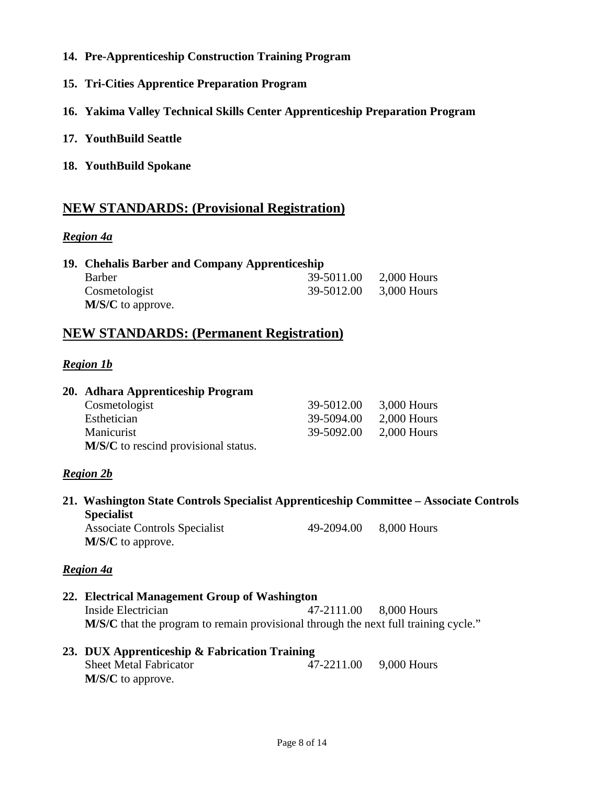- **14. Pre-Apprenticeship Construction Training Program**
- **15. Tri-Cities Apprentice Preparation Program**
- **16. Yakima Valley Technical Skills Center Apprenticeship Preparation Program**
- **17. YouthBuild Seattle**
- **18. YouthBuild Spokane**

## **NEW STANDARDS: (Provisional Registration)**

## *Region 4a*

| 19. Chehalis Barber and Company Apprenticeship |            |               |  |
|------------------------------------------------|------------|---------------|--|
| <b>Barber</b>                                  | 39-5011.00 | $2,000$ Hours |  |
| Cosmetologist                                  | 39-5012.00 | $3,000$ Hours |  |
| $M/S/C$ to approve.                            |            |               |  |

## **NEW STANDARDS: (Permanent Registration)**

## *Region 1b*

| 20. Adhara Apprenticeship Program    |            |               |
|--------------------------------------|------------|---------------|
| Cosmetologist                        | 39-5012.00 | $3,000$ Hours |
| Esthetician                          | 39-5094.00 | $2,000$ Hours |
| Manicurist                           | 39-5092.00 | $2,000$ Hours |
| M/S/C to rescind provisional status. |            |               |

## *Region 2b*

**21. Washington State Controls Specialist Apprenticeship Committee – Associate Controls Specialist** Associate Controls Specialist 49-2094.00 8,000 Hours

**M/S/C** to approve.

## *Region 4a*

**22. Electrical Management Group of Washington**  Inside Electrician 47-2111.00 8,000 Hours **M/S/C** that the program to remain provisional through the next full training cycle."

| 23. DUX Apprenticeship & Fabrication Training |            |             |  |
|-----------------------------------------------|------------|-------------|--|
| <b>Sheet Metal Fabricator</b>                 | 47-2211.00 | 9,000 Hours |  |
| $M/S/C$ to approve.                           |            |             |  |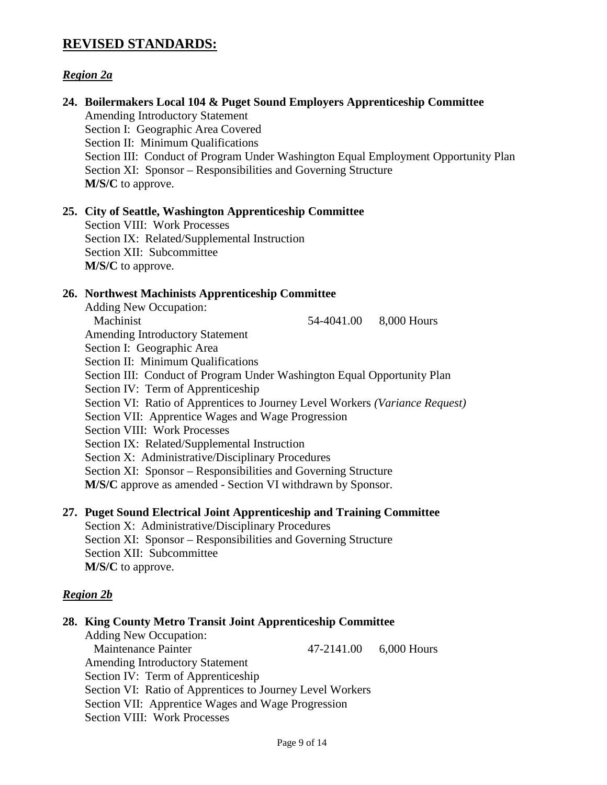## **REVISED STANDARDS:**

## *Region 2a*

| 24. Boilermakers Local 104 & Puget Sound Employers Apprenticeship Committee<br><b>Amending Introductory Statement</b><br>Section I: Geographic Area Covered<br>Section II: Minimum Qualifications<br>Section III: Conduct of Program Under Washington Equal Employment Opportunity Plan<br>Section XI: Sponsor – Responsibilities and Governing Structure<br>M/S/C to approve.                                                                                                                                                                                                                                                                                                                                                                                              |
|-----------------------------------------------------------------------------------------------------------------------------------------------------------------------------------------------------------------------------------------------------------------------------------------------------------------------------------------------------------------------------------------------------------------------------------------------------------------------------------------------------------------------------------------------------------------------------------------------------------------------------------------------------------------------------------------------------------------------------------------------------------------------------|
| 25. City of Seattle, Washington Apprenticeship Committee<br><b>Section VIII: Work Processes</b><br>Section IX: Related/Supplemental Instruction<br>Section XII: Subcommittee<br>M/S/C to approve.                                                                                                                                                                                                                                                                                                                                                                                                                                                                                                                                                                           |
| 26. Northwest Machinists Apprenticeship Committee<br><b>Adding New Occupation:</b><br>Machinist<br>54-4041.00 8,000 Hours<br><b>Amending Introductory Statement</b><br>Section I: Geographic Area<br>Section II: Minimum Qualifications<br>Section III: Conduct of Program Under Washington Equal Opportunity Plan<br>Section IV: Term of Apprenticeship<br>Section VI: Ratio of Apprentices to Journey Level Workers (Variance Request)<br>Section VII: Apprentice Wages and Wage Progression<br><b>Section VIII: Work Processes</b><br>Section IX: Related/Supplemental Instruction<br>Section X: Administrative/Disciplinary Procedures<br>Section XI: Sponsor – Responsibilities and Governing Structure<br>M/S/C approve as amended - Section VI withdrawn by Sponsor. |
| 27. Puget Sound Electrical Joint Apprenticeship and Training Committee<br>Section X: Administrative/Disciplinary Procedures<br>Section XI: Sponsor – Responsibilities and Governing Structure<br>Section XII: Subcommittee<br>M/S/C to approve.                                                                                                                                                                                                                                                                                                                                                                                                                                                                                                                             |
| <b>Region 2b</b>                                                                                                                                                                                                                                                                                                                                                                                                                                                                                                                                                                                                                                                                                                                                                            |
| 28. King County Metro Transit Joint Apprenticeship Committee<br><b>Adding New Occupation:</b><br><b>Maintenance Painter</b><br>47-2141.00<br>$6,000$ Hours<br><b>Amending Introductory Statement</b><br>Section IV: Term of Apprenticeship                                                                                                                                                                                                                                                                                                                                                                                                                                                                                                                                  |

Section VI: Ratio of Apprentices to Journey Level Workers

Section VII: Apprentice Wages and Wage Progression

Section VIII: Work Processes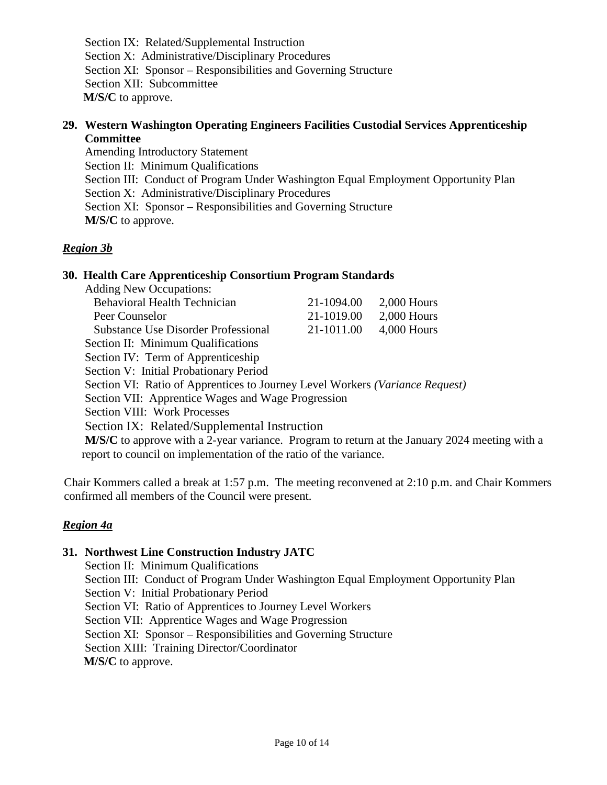Section IX: Related/Supplemental Instruction Section X: Administrative/Disciplinary Procedures Section XI: Sponsor – Responsibilities and Governing Structure Section XII: Subcommittee **M/S/C** to approve.

## **29. Western Washington Operating Engineers Facilities Custodial Services Apprenticeship Committee**

Amending Introductory Statement Section II: Minimum Qualifications Section III: Conduct of Program Under Washington Equal Employment Opportunity Plan Section X: Administrative/Disciplinary Procedures Section XI: Sponsor – Responsibilities and Governing Structure **M/S/C** to approve.

## *Region 3b*

## **30. Health Care Apprenticeship Consortium Program Standards**

| <b>Adding New Occupations:</b>                                                                |            |               |
|-----------------------------------------------------------------------------------------------|------------|---------------|
| <b>Behavioral Health Technician</b>                                                           | 21-1094.00 | $2,000$ Hours |
| Peer Counselor                                                                                | 21-1019.00 | $2,000$ Hours |
| <b>Substance Use Disorder Professional</b>                                                    | 21-1011.00 | $4,000$ Hours |
| Section II: Minimum Qualifications                                                            |            |               |
| Section IV: Term of Apprenticeship                                                            |            |               |
| Section V: Initial Probationary Period                                                        |            |               |
| Section VI: Ratio of Apprentices to Journey Level Workers (Variance Request)                  |            |               |
| Section VII: Apprentice Wages and Wage Progression                                            |            |               |
| Section VIII: Work Processes                                                                  |            |               |
| Section IX: Related/Supplemental Instruction                                                  |            |               |
| M/S/C to approve with a 2-year variance. Program to return at the January 2024 meeting with a |            |               |
| report to council on implementation of the ratio of the variance.                             |            |               |
|                                                                                               |            |               |

Chair Kommers called a break at 1:57 p.m. The meeting reconvened at 2:10 p.m. and Chair Kommers confirmed all members of the Council were present.

## *Region 4a*

## **31. Northwest Line Construction Industry JATC**

Section II: Minimum Qualifications Section III: Conduct of Program Under Washington Equal Employment Opportunity Plan Section V: Initial Probationary Period Section VI: Ratio of Apprentices to Journey Level Workers Section VII: Apprentice Wages and Wage Progression Section XI: Sponsor – Responsibilities and Governing Structure Section XIII: Training Director/Coordinator **M/S/C** to approve.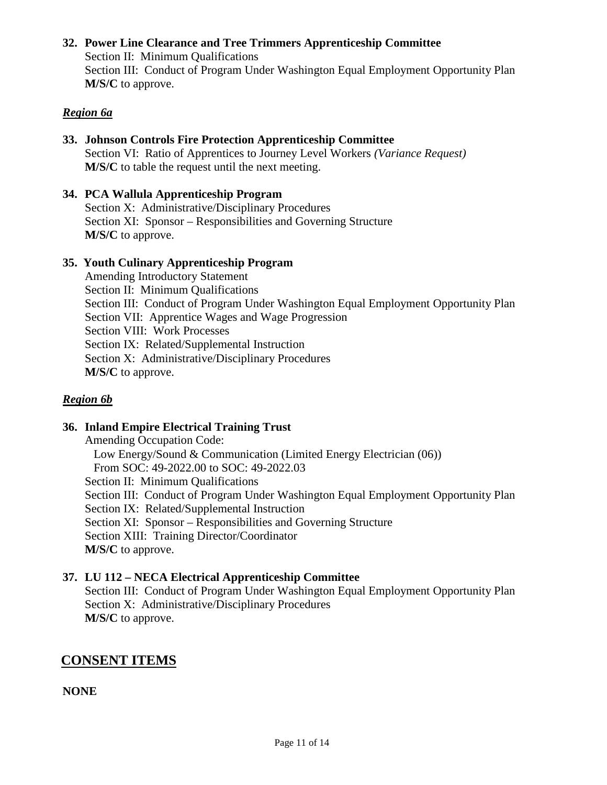## **32. Power Line Clearance and Tree Trimmers Apprenticeship Committee**

Section II: Minimum Qualifications Section III: Conduct of Program Under Washington Equal Employment Opportunity Plan **M/S/C** to approve.

## *Region 6a*

## **33. Johnson Controls Fire Protection Apprenticeship Committee** Section VI: Ratio of Apprentices to Journey Level Workers *(Variance Request)* **M/S/C** to table the request until the next meeting.

## **34. PCA Wallula Apprenticeship Program**

Section X: Administrative/Disciplinary Procedures Section XI: Sponsor – Responsibilities and Governing Structure **M/S/C** to approve.

## **35. Youth Culinary Apprenticeship Program**

Amending Introductory Statement Section II: Minimum Qualifications Section III: Conduct of Program Under Washington Equal Employment Opportunity Plan Section VII: Apprentice Wages and Wage Progression Section VIII: Work Processes Section IX: Related/Supplemental Instruction Section X: Administrative/Disciplinary Procedures **M/S/C** to approve.

## *Region 6b*

## **36. Inland Empire Electrical Training Trust**

Amending Occupation Code: Low Energy/Sound & Communication (Limited Energy Electrician (06)) From SOC: 49-2022.00 to SOC: 49-2022.03

Section II: Minimum Qualifications

Section III: Conduct of Program Under Washington Equal Employment Opportunity Plan

Section IX: Related/Supplemental Instruction

Section XI: Sponsor – Responsibilities and Governing Structure

Section XIII: Training Director/Coordinator

**M/S/C** to approve.

## **37. LU 112 – NECA Electrical Apprenticeship Committee**

Section III: Conduct of Program Under Washington Equal Employment Opportunity Plan Section X: Administrative/Disciplinary Procedures **M/S/C** to approve.

## **CONSENT ITEMS**

**NONE**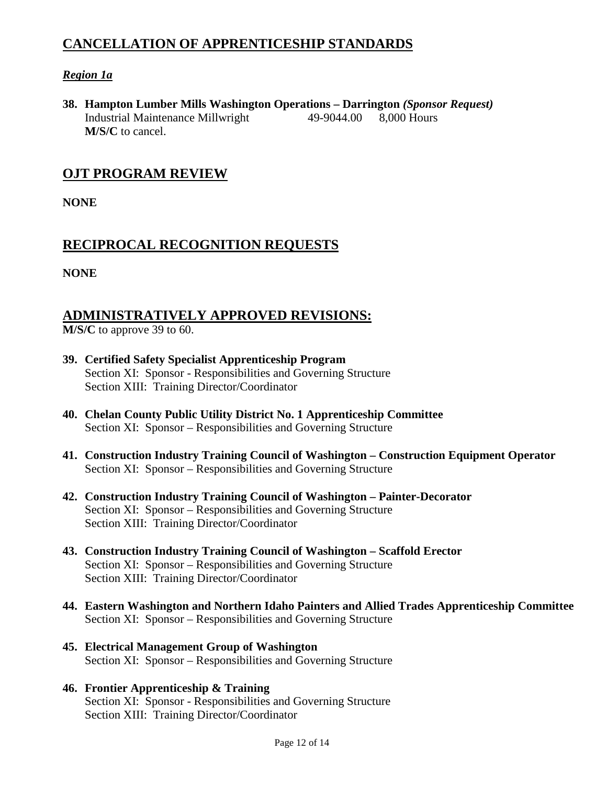## **CANCELLATION OF APPRENTICESHIP STANDARDS**

## *Region 1a*

**38. Hampton Lumber Mills Washington Operations – Darrington** *(Sponsor Request)*  Industrial Maintenance Millwright 49-9044.00 8,000 Hours **M/S/C** to cancel.

## **OJT PROGRAM REVIEW**

**NONE**

## **RECIPROCAL RECOGNITION REQUESTS**

**NONE**

## **ADMINISTRATIVELY APPROVED REVISIONS:**

**M/S/C** to approve 39 to 60.

- **39. Certified Safety Specialist Apprenticeship Program** Section XI: Sponsor - Responsibilities and Governing Structure Section XIII: Training Director/Coordinator
- **40. Chelan County Public Utility District No. 1 Apprenticeship Committee** Section XI: Sponsor – Responsibilities and Governing Structure
- **41. Construction Industry Training Council of Washington Construction Equipment Operator** Section XI: Sponsor – Responsibilities and Governing Structure
- **42. Construction Industry Training Council of Washington Painter-Decorator**  Section XI: Sponsor – Responsibilities and Governing Structure Section XIII: Training Director/Coordinator
- **43. Construction Industry Training Council of Washington Scaffold Erector** Section XI: Sponsor – Responsibilities and Governing Structure Section XIII: Training Director/Coordinator
- **44. Eastern Washington and Northern Idaho Painters and Allied Trades Apprenticeship Committee** Section XI: Sponsor – Responsibilities and Governing Structure
- **45. Electrical Management Group of Washington**  Section XI: Sponsor – Responsibilities and Governing Structure
- **46. Frontier Apprenticeship & Training** Section XI: Sponsor - Responsibilities and Governing Structure Section XIII: Training Director/Coordinator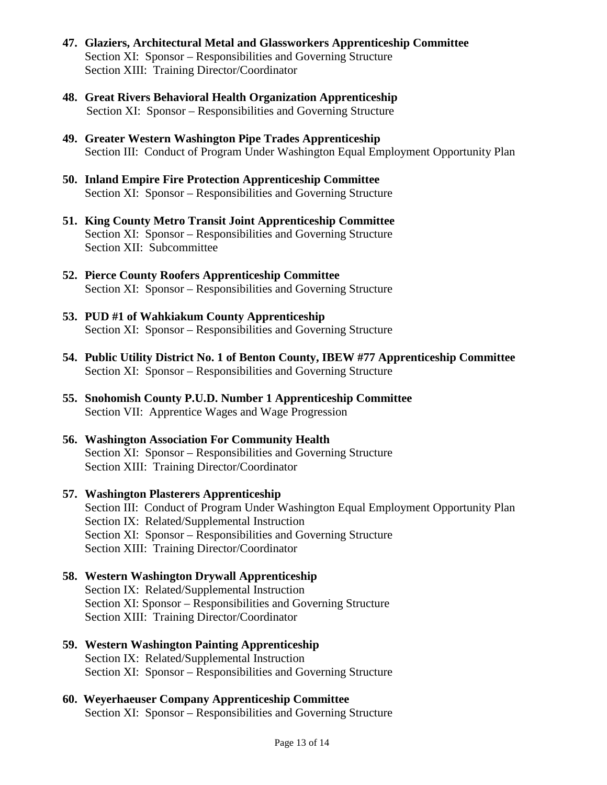- **47. Glaziers, Architectural Metal and Glassworkers Apprenticeship Committee** Section XI: Sponsor – Responsibilities and Governing Structure Section XIII: Training Director/Coordinator
- **48. Great Rivers Behavioral Health Organization Apprenticeship** Section XI: Sponsor – Responsibilities and Governing Structure
- **49. Greater Western Washington Pipe Trades Apprenticeship** Section III: Conduct of Program Under Washington Equal Employment Opportunity Plan
- **50. Inland Empire Fire Protection Apprenticeship Committee** Section XI: Sponsor – Responsibilities and Governing Structure
- **51. King County Metro Transit Joint Apprenticeship Committee** Section XI: Sponsor – Responsibilities and Governing Structure Section XII: Subcommittee
- **52. Pierce County Roofers Apprenticeship Committee** Section XI: Sponsor – Responsibilities and Governing Structure
- **53. PUD #1 of Wahkiakum County Apprenticeship** Section XI: Sponsor – Responsibilities and Governing Structure
- **54. Public Utility District No. 1 of Benton County, IBEW #77 Apprenticeship Committee** Section XI: Sponsor – Responsibilities and Governing Structure
- **55. Snohomish County P.U.D. Number 1 Apprenticeship Committee** Section VII: Apprentice Wages and Wage Progression
- **56. Washington Association For Community Health**  Section XI: Sponsor – Responsibilities and Governing Structure Section XIII: Training Director/Coordinator
- **57. Washington Plasterers Apprenticeship** Section III: Conduct of Program Under Washington Equal Employment Opportunity Plan Section IX: Related/Supplemental Instruction Section XI: Sponsor – Responsibilities and Governing Structure Section XIII: Training Director/Coordinator

## **58. Western Washington Drywall Apprenticeship** Section IX: Related/Supplemental Instruction Section XI: Sponsor – Responsibilities and Governing Structure Section XIII: Training Director/Coordinator

**59. Western Washington Painting Apprenticeship** Section IX: Related/Supplemental Instruction Section XI: Sponsor – Responsibilities and Governing Structure

#### **60. Weyerhaeuser Company Apprenticeship Committee** Section XI: Sponsor – Responsibilities and Governing Structure